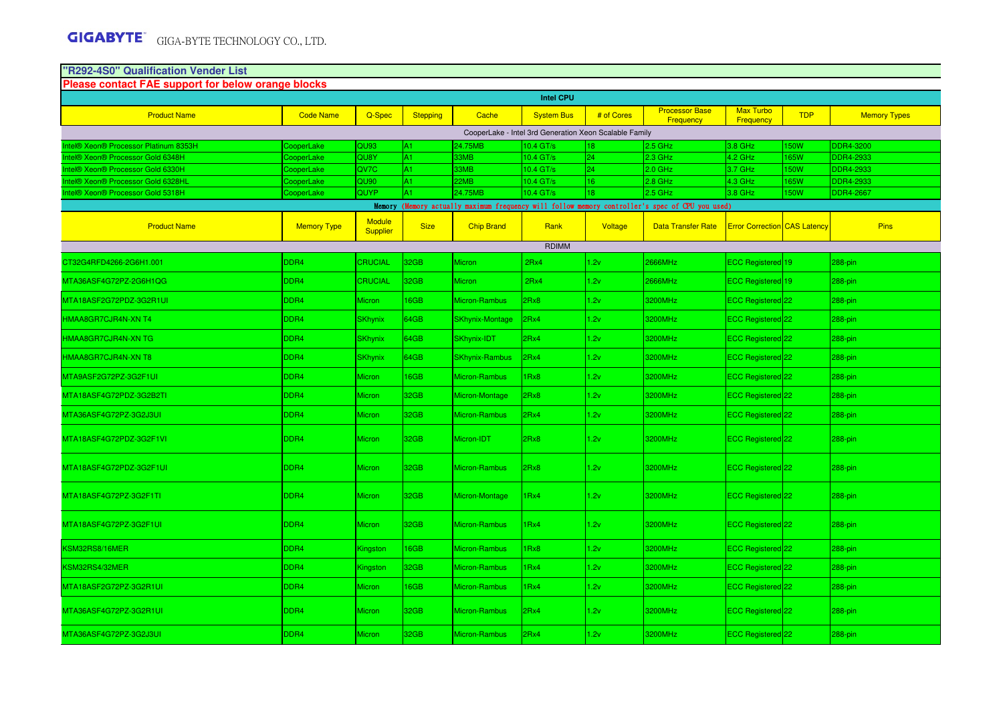MTA36ASF4G72PZ-3G2J3UI

## **"R292-4S0" Qualification Vender List Please contact FAE support for below orange blocks**Product Name Code Name | Q-Spec | Stepping | Cache | System Bus | # of Cores Frocessor Base<br>Frequency Max Turbo TDP Memory Types **Intel® Xeon® Processor Platinum 8353H** CooperLake CooperLake QU93 A1 24.75MB 10.4 GT/s <sup>18</sup> 2.5 GHz 3.8 GHz 150W DDR4-3200 Intel® Xeon® Processor Gold 6348H CooperLake QU8Y A1 33MB 10.4 GT/s 24 2.3 GHz 4.2 GHz 165W DDR4-2933DDR4-2933 Intel® Xeon® Processor Gold 6330H CooperLake QV7C A1 33MB 10.4 GT/s 24 2.0 GHz 3.7 GHz 150W DDR4-2933DDR4-2933 Intel® Xeon® Processor Gold 6328HL CooperLake QU90 A1 22MB 10.4 GT/s 16 2.8 GHz 4.3 GHz 165W DDR4-2933**DDR4-2667** Intel® Xeon® Processor Gold 5318H CooperLake QUYP A1 24.75MB 10.4 GT/s 18 2.5 GHz 3.8 GHz 150W DDR4-2667Product Name Memory Type Module<br>Supplier Size Chip Brand Rank Voltage Data Transfer Rate Error Correction CAS Latency Pins CT32G4RFD4266-2G6H1.001 DDR4 CRUCIAL 32GB Micron 2Rx4 1.2v 2666MHz ECC Registered <sup>19</sup> 288-pin MTA36ASF4G72PZ-2G6H1QG DDR4 CRUCIAL 32GB Micron 2Rx4 1.2v 2666MHz ECC Registered <sup>19</sup> 288-pin MTA18ASF2G72PDZ-3G2R1UI DDR4 DDR4 Micron 16GB Micron-Rambus 2Rx8 1.2v 3200MHz ECC Registered 22 288-pin HMAA8GR7CJR4N-XN T44 SKhynix 64GB SKhynix-Montage 2Rx4 1.2v 3200MHz ECC Registered 22 288-pin 3200MHz 3200MHz 288-pin 4 HMAA8GR7CJR4N-XN TGG SKhynix 64GB SKhynix-IDT 2Rx4 1.2v 3200MHz ECC Registered 22 288-pin 2000MHz 3200MHz 288-pin HMAA8GR7CJR4N-XN T8 DDR4 SKhynix 64GB SKhynix-Rambus 2Rx4 1.2v 3200MHz ECC Registered <sup>22</sup> 288-pin MTA9ASF2G72PZ-3G2F1UI DDR4 Micron 16GB Micron-Rambus 1Rx8 1.2v 3200MHz ECC Registered 22 288-pinMTA18ASF4G72PDZ-3G2B2TI DDR4 Micron 32GB Micron-Montage 2Rx8 1.2v 3200MHz ECC Registered 22 288-pin MTA36ASF4G72PZ-3G2J3UIl |DDR4 |Micron |32GB |Micron-Rambus |2Rx4 |1.2v |3200MHz |ECC Registered|22 |288-pin MTA18ASF4G72PDZ-3G2F1VI DDR4 Micron 32GB Micron-IDT 2Rx81.2v 3200MHz ECC Registered 22 288-pin MTA18ASF4G72PDZ-3G2F1UI DDR4 DDR4 Micron 32GB Micron-Rambus 2Rx8 1.2v 3200MHz ECC Registered 22 288-pin MTA18ASF4G72PZ-3G2F1TI DDR4 Micron 32GB Micron-Montage 1Rx4 1.2v 3200MHz ECC Registered 22 288-pinMTA18ASF4G72PZ-3G2F1UI DDR4 Micron 32GB Micron-Rambus 1Rx4 1.2v 3200MHz ECC Registered 22 288-pinKSM32RS8/16MERR Registered 22 Registered DDR4 Kingston 16GB Micron-Rambus 1Rx8 1.2v 3200MHz BCC Registered 22 288-pin KSM32RS4/32MERR Registered 22 Registered DDR4 Kingston 32GB Micron-Rambus 1Rx4 1.2v 3200MHz ECC Registered 22 288-pin MTA18ASF2G72PZ-3G2R1UI DDR4 Micron 16GB Micron-Rambus 1Rx4 1.2v 3200MHz ECC Registered 22 288-pinMTA36ASF4G72PZ-3G2R1UI DDR4 Micron 32GB Micron-Rambus 2Rx4 1.2v 3200MHz ECC Registered 22 288-pin**Intel CPU**Memory (Memory actually maximum frequency will follow memory controller's spec of CPU you used)RDIMMCooperLake - Intel 3rd Generation Xeon Scalable Family

l |DDR4 |Micron |32GB |Micron-Rambus |2Rx4 |1.2v |3200MHz |ECC Registered|22 |288-pin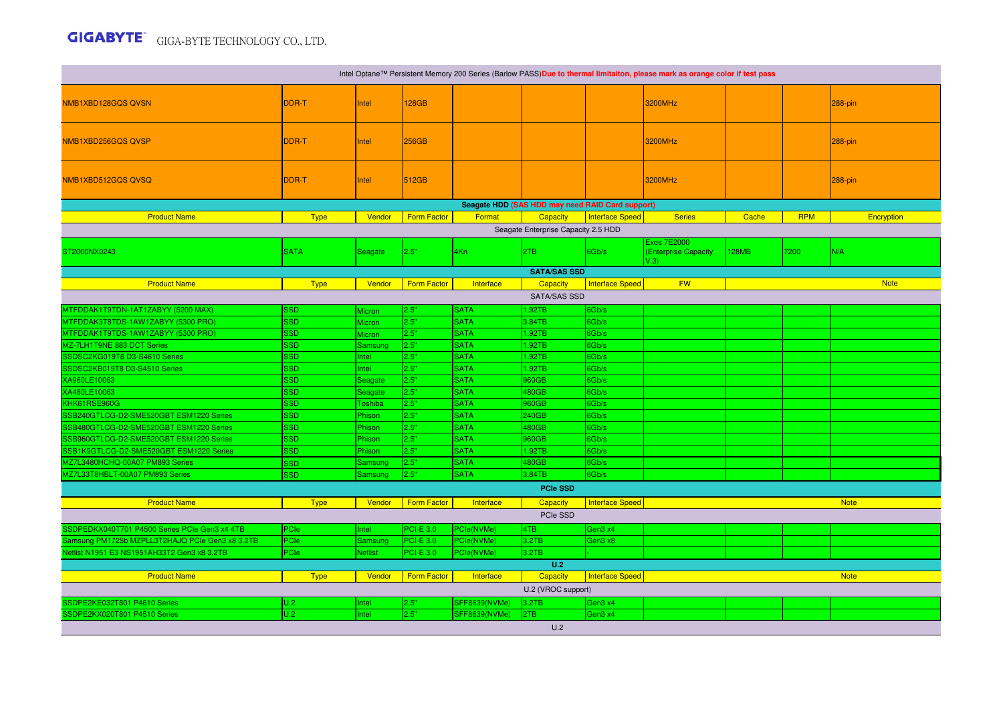## GIGA-BYTE TECHNOLOGY CO., LTD.

| Intel Optane™ Persistent Memory 200 Series (Barlow PASS)Due to thermal limitaiton, please mark as orange color if test pass |                          |                    |                    |                            |                                                  |                        |                                                    |              |            |                |
|-----------------------------------------------------------------------------------------------------------------------------|--------------------------|--------------------|--------------------|----------------------------|--------------------------------------------------|------------------------|----------------------------------------------------|--------------|------------|----------------|
| NMB1XBD128GQS QVSN                                                                                                          | DDR-T                    | Intel              | 128GB              |                            |                                                  |                        | <b>3200MHz</b>                                     |              |            | <b>288-pin</b> |
|                                                                                                                             |                          |                    |                    |                            |                                                  |                        |                                                    |              |            |                |
| NMB1XBD256GQS QVSP                                                                                                          | <b>DDR-T</b>             | Intel              | 256GB              |                            |                                                  |                        | 3200MHz                                            |              |            | 288-pin        |
| NMB1XBD512GQS QVSQ                                                                                                          | <b>DDR-T</b>             | Intel              | 512GB              |                            |                                                  |                        | 3200MHz                                            |              |            | $288$ -pin     |
|                                                                                                                             |                          |                    |                    |                            | Seagate HDD (SAS HDD may need RAID Card support) |                        |                                                    |              |            |                |
| <b>Product Name</b>                                                                                                         | <b>Type</b>              | Vendor             | <b>Form Factor</b> | Format                     | Capacity                                         | <b>Interface Speed</b> | <b>Series</b>                                      | Cache        | <b>RPM</b> | Encryption     |
| Seagate Enterprise Capacity 2.5 HDD                                                                                         |                          |                    |                    |                            |                                                  |                        |                                                    |              |            |                |
| ST2000NX0243                                                                                                                | <b>SATA</b>              | Seagate            | 2.5"               | 4Kn                        | 2TB                                              | 6Gb/s                  | <b>Exos 7E2000</b><br>(Enterprise Capacity<br>V.3) | <b>128MB</b> | 7200       | N/A            |
|                                                                                                                             |                          |                    |                    |                            | <b>SATA/SAS SSD</b>                              |                        |                                                    |              |            |                |
| <b>Product Name</b>                                                                                                         | <b>Type</b>              | Vendor             | <b>Form Factor</b> | Interface                  | Capacity                                         | <b>Interface Speed</b> | <b>FW</b>                                          |              |            | <b>Note</b>    |
|                                                                                                                             |                          |                    |                    |                            | <b>SATA/SAS SSD</b>                              |                        |                                                    |              |            |                |
| MTFDDAK1T9TDN-1AT1ZABYY (5200 MAX)                                                                                          | <b>SSD</b>               | Micron             | 2.5"               | <b>SATA</b>                | 1.92TB                                           | 6Gb/s                  |                                                    |              |            |                |
| MTFDDAK3T8TDS-1AW1ZABYY (5300 PRO)                                                                                          | <b>SSD</b>               | <b>Micron</b>      | 2.5"               | <b>SATA</b>                | 3.84TB                                           | 6Gb/s                  |                                                    |              |            |                |
| MTFDDAK1T9TDS-1AW1ZABYY (5300 PRO)                                                                                          | <b>SSD</b>               | <b>Micron</b>      | 2.5"               | <b>SATA</b>                | 1.92TB                                           | 6Gb/s                  |                                                    |              |            |                |
| MZ-7LH1T9NE 883 DCT Series                                                                                                  | <b>SSD</b>               | Samsung            | 2.5"               | <b>SATA</b>                | 1.92TB                                           | 6Gb/s                  |                                                    |              |            |                |
| SSDSC2KG019T8 D3-S4610 Series                                                                                               | <b>SSD</b>               | Intel              | 2.5"               | <b>SATA</b>                | 1.92TB                                           | Gb/s                   |                                                    |              |            |                |
| SSDSC2KB019T8 D3-S4510 Series                                                                                               | <b>SSD</b>               | Intel              | 2.5"               | <b>SATA</b>                | 1.92TB                                           | 6Gb/s                  |                                                    |              |            |                |
| XA960LE10063                                                                                                                | <b>SSD</b>               | Seagate            | 2.5"               | <b>SATA</b>                | 960GB                                            | 6Gb/s                  |                                                    |              |            |                |
| XA480LE10063                                                                                                                | <b>SSD</b>               | Seagate            | 2.5"               | <b>SATA</b>                | 480GB                                            | 6Gb/s                  |                                                    |              |            |                |
| KHK61RSE960G                                                                                                                | <b>SSD</b>               | <b>Toshiba</b>     | 2.5"               | <b>SATA</b>                | 960GB                                            | 6Gb/s                  |                                                    |              |            |                |
| SSB240GTLCG-D2-SME520GBT ESM1220 Series                                                                                     | <b>SSD</b>               | Phison             | 2.5"               | <b>SATA</b>                | 240GB                                            | 6Gb/s                  |                                                    |              |            |                |
| SSB480GTLCG-D2-SME520GBT ESM1220 Series                                                                                     | <b>SSD</b>               | Phison             | 2.5"               | <b>SATA</b>                | 480GB                                            | 6Gb/s                  |                                                    |              |            |                |
| SSB960GTLCG-D2-SME520GBT ESM1220 Series                                                                                     | <b>SSD</b><br><b>SSD</b> | <b>Phison</b>      | 2.5"<br>2.5"       | <b>SATA</b><br><b>SATA</b> | 960GB                                            | 6Gb/s<br>6Gb/s         |                                                    |              |            |                |
| SSB1K9GTLCG-D2-SME520GBT ESM1220 Series                                                                                     |                          | Phison             | 2.5"               | <b>SATA</b>                | 1.92TB                                           |                        |                                                    |              |            |                |
| MZ7L3480HCHQ-00A07 PM893 Series<br>MZ7L33T8HBLT-00A07 PM893 Series                                                          | <b>SSD</b><br><b>SSD</b> | Samsung<br>Samsung | 2.5"               | <b>SATA</b>                | 480GB<br>3.84TB                                  | 6Gb/s<br>6Gb/s         |                                                    |              |            |                |
|                                                                                                                             |                          |                    |                    |                            | <b>PCIe SSD</b>                                  |                        |                                                    |              |            |                |
|                                                                                                                             |                          |                    |                    |                            |                                                  |                        |                                                    |              |            |                |
| <b>Product Name</b>                                                                                                         | <b>Type</b>              | Vendor             | <b>Form Factor</b> | Interface                  | Capacity<br>PCIe SSD                             | Interface Speed        |                                                    |              |            | <b>Note</b>    |
| SSDPEDKX040T701 P4500 Series PCIe Gen3 x4 4TB                                                                               | <b>PCIe</b>              | Intel              | <b>PCI-E 3.0</b>   | PCle(NVMe)                 | 4TB                                              | Gen3 x4                |                                                    |              |            |                |
| Samsung PM1725b MZPLL3T2HAJQ PCIe Gen3 x8 3.2TB                                                                             | PCIe                     | Samsung            | $PCI-E 3.0$        | PCle(NVMe)                 | 3.2TB                                            | Gen3 x8                |                                                    |              |            |                |
| Netlist N1951 E3 NS1951AH33T2 Gen3 x8 3.2TB                                                                                 | <b>PCle</b>              | <b>Netlist</b>     | <b>PCI-E 3.0</b>   | PCle(NVMe)                 | 3.2TB                                            |                        |                                                    |              |            |                |
| U.2                                                                                                                         |                          |                    |                    |                            |                                                  |                        |                                                    |              |            |                |
| <b>Product Name</b>                                                                                                         | <b>Type</b>              | Vendor             | Form Factor        | Interface                  | Capacity                                         | <b>Interface Speed</b> |                                                    |              |            | <b>Note</b>    |
| U.2 (VROC support)                                                                                                          |                          |                    |                    |                            |                                                  |                        |                                                    |              |            |                |
| SSDPE2KE032T801 P4610 Series                                                                                                | U.2                      | Intel              | 2.5"               | SFF8639(NVMe)              | 3.2TB                                            | Gen3 x4                |                                                    |              |            |                |
| SSDPE2KX020T801 P4510 Series                                                                                                | U.2                      | Intel              | 2.5"               | SFF8639(NVMe)              | 2TB                                              | Gen3 x4                |                                                    |              |            |                |
|                                                                                                                             |                          |                    |                    |                            | U.2                                              |                        |                                                    |              |            |                |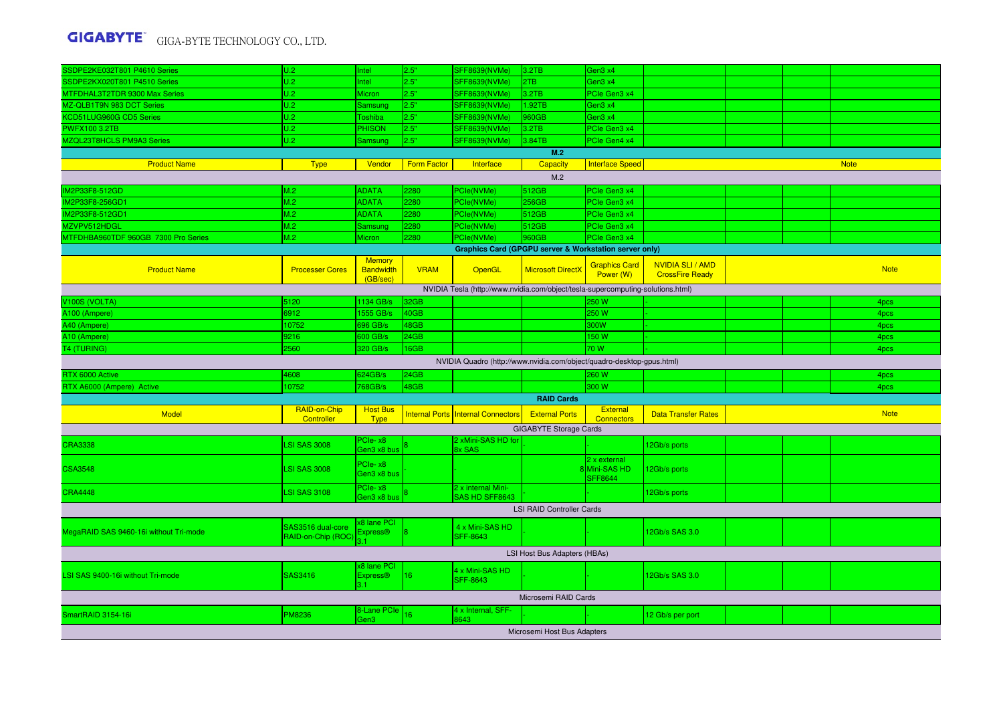## GIGA-BYTE TECHNOLOGY CO., LTD.

| SSDPE2KE032T801 P4610 Series                                                    | U.2                                     | Intel                                         | 2.5"               | SFF8639(NVMe)                                                         | 3.2TB                         | Gen3 x4                           |                                                   |  |  |             |  |
|---------------------------------------------------------------------------------|-----------------------------------------|-----------------------------------------------|--------------------|-----------------------------------------------------------------------|-------------------------------|-----------------------------------|---------------------------------------------------|--|--|-------------|--|
| SSDPE2KX020T801 P4510 Series                                                    | U.2                                     | Intel                                         | 2.5"               | SFF8639(NVMe)                                                         | 2TB                           | Gen3 x4                           |                                                   |  |  |             |  |
| MTFDHAL3T2TDR 9300 Max Series                                                   | U.2                                     | Micron                                        | 2.5"               | SFF8639(NVMe)                                                         | 3.2TB                         | PCIe Gen3 x4                      |                                                   |  |  |             |  |
| MZ-QLB1T9N 983 DCT Series                                                       | U.2                                     | Samsung                                       | 2.5"               | <b>SFF8639(NVMe)</b>                                                  | 1.92TB                        | Gen3 x4                           |                                                   |  |  |             |  |
| KCD51LUG960G CD5 Series                                                         | U.2                                     | Toshiba                                       | 2.5"               | SFF8639(NVMe)                                                         | 960GB                         | Gen3 x4                           |                                                   |  |  |             |  |
| <b>PWFX100 3.2TB</b>                                                            | U.2                                     | <b>PHISON</b>                                 | 2.5"               | SFF8639(NVMe)                                                         | 3.2TB                         | PCle Gen3 x4                      |                                                   |  |  |             |  |
| MZQL23T8HCLS PM9A3 Series                                                       | U.2                                     | Samsung                                       | 2.5"               | SFF8639(NVMe)                                                         | 3.84TB                        | PCle Gen4 x4                      |                                                   |  |  |             |  |
|                                                                                 |                                         |                                               |                    |                                                                       | M.2                           |                                   |                                                   |  |  |             |  |
| <b>Product Name</b>                                                             | <b>Type</b>                             | Vendor                                        | <b>Form Factor</b> | Interface                                                             | Capacity                      | <b>Interface Speed</b>            |                                                   |  |  | <b>Note</b> |  |
|                                                                                 |                                         |                                               |                    |                                                                       |                               |                                   |                                                   |  |  |             |  |
| M.2                                                                             |                                         |                                               |                    |                                                                       |                               |                                   |                                                   |  |  |             |  |
| IM2P33F8-512GD                                                                  | M.2                                     | <b>ADATA</b>                                  | 2280               | PCle(NVMe)                                                            | 512GB                         | PCIe Gen3 x4                      |                                                   |  |  |             |  |
| IM2P33F8-256GD1                                                                 | M.2                                     | <b>ADATA</b>                                  | 280                | PCIe(NVMe)                                                            | 256GB                         | PCle Gen3 x4                      |                                                   |  |  |             |  |
| IM2P33F8-512GD1                                                                 | M.2                                     | <b>ADATA</b>                                  | 2280               | PCle(NVMe)                                                            | 512GB                         | PCle Gen3 x4                      |                                                   |  |  |             |  |
| MZVPV512HDGL                                                                    | M.2                                     | Samsung                                       | 2280               | PCle(NVMe)                                                            | 512GB                         | PCIe Gen3 x4                      |                                                   |  |  |             |  |
| MTFDHBA960TDF 960GB 7300 Pro Series                                             | M.2                                     | <b>Micron</b>                                 | 2280               | PCIe(NVMe)                                                            | 960GB                         | PCle Gen3 x4                      |                                                   |  |  |             |  |
| <b>Graphics Card (GPGPU server &amp; Workstation server only)</b>               |                                         |                                               |                    |                                                                       |                               |                                   |                                                   |  |  |             |  |
| <b>Product Name</b>                                                             | <b>Processer Cores</b>                  | <b>Memory</b><br><b>Bandwidth</b><br>(GB/sec) | <b>VRAM</b>        | OpenGL                                                                | <b>Microsoft DirectX</b>      | <b>Graphics Card</b><br>Power (W) | <b>NVIDIA SLI / AMD</b><br><b>CrossFire Ready</b> |  |  | <b>Note</b> |  |
| NVIDIA Tesla (http://www.nvidia.com/object/tesla-supercomputing-solutions.html) |                                         |                                               |                    |                                                                       |                               |                                   |                                                   |  |  |             |  |
| V100S (VOLTA)                                                                   | 5120                                    | 1134 GB/s                                     | 32GB               |                                                                       |                               | :50 W                             |                                                   |  |  | 4pcs        |  |
| A100 (Ampere)                                                                   | 6912                                    | 1555 GB/s                                     | 40GB               |                                                                       |                               | 250 W                             |                                                   |  |  | 4pcs        |  |
| A40 (Ampere)                                                                    | 10752                                   | 696 GB/s                                      | 48GB               |                                                                       |                               | 300W                              |                                                   |  |  | 4pcs        |  |
| A10 (Ampere)                                                                    | 9216                                    | 600 GB/s                                      | 24GB               |                                                                       |                               | 150 W                             |                                                   |  |  | 4pcs        |  |
| <b>T4 (TURING)</b>                                                              | 2560                                    | 320 GB/s                                      | 16GB               |                                                                       |                               | 70 W                              |                                                   |  |  | 4pcs        |  |
|                                                                                 |                                         |                                               |                    | NVIDIA Quadro (http://www.nvidia.com/object/quadro-desktop-gpus.html) |                               |                                   |                                                   |  |  |             |  |
| RTX 6000 Active                                                                 | 4608                                    | 624GB/s                                       | 24GB               |                                                                       |                               | 260 W                             |                                                   |  |  | 4pcs        |  |
| RTX A6000 (Ampere) Active                                                       | 10752                                   | 768GB/s                                       | 48GB               |                                                                       |                               | 300 W                             |                                                   |  |  | 4pcs        |  |
|                                                                                 |                                         |                                               |                    |                                                                       | <b>RAID Cards</b>             |                                   |                                                   |  |  |             |  |
|                                                                                 | RAID-on-Chip                            | <b>Host Bus</b>                               |                    |                                                                       |                               | <b>External</b>                   |                                                   |  |  |             |  |
| <b>Model</b>                                                                    | Controller                              | <b>Type</b>                                   |                    | Internal Ports Internal Connectors                                    | <b>External Ports</b>         | <b>Connectors</b>                 | <b>Data Transfer Rates</b>                        |  |  | <b>Note</b> |  |
|                                                                                 |                                         |                                               |                    |                                                                       | <b>GIGABYTE Storage Cards</b> |                                   |                                                   |  |  |             |  |
| <b>CRA3338</b>                                                                  | <b>LSI SAS 3008</b>                     | PCIe-x8                                       |                    | 2 xMini-SAS HD for                                                    |                               |                                   | 2Gb/s ports                                       |  |  |             |  |
|                                                                                 |                                         | Gen3 x8 bus                                   |                    | Bx SAS                                                                |                               |                                   |                                                   |  |  |             |  |
| <b>CSA3548</b>                                                                  | <b>LSI SAS 3008</b>                     | PCIe-x8                                       |                    |                                                                       |                               | 2 x external<br>8Mini-SAS HD      | 12Gb/s ports                                      |  |  |             |  |
|                                                                                 |                                         | Gen3 x8 bus                                   |                    |                                                                       |                               | <b>SFF8644</b>                    |                                                   |  |  |             |  |
|                                                                                 |                                         | PCIe-x8                                       |                    | 2 x internal Mini-                                                    |                               |                                   |                                                   |  |  |             |  |
| <b>CRA4448</b>                                                                  | <b>LSI SAS 3108</b>                     | Gen3 x8 bus                                   |                    | SAS HD SFF8643                                                        |                               |                                   | 12Gb/s ports                                      |  |  |             |  |
| <b>LSI RAID Controller Cards</b>                                                |                                         |                                               |                    |                                                                       |                               |                                   |                                                   |  |  |             |  |
| MegaRAID SAS 9460-16i without Tri-mode                                          | SAS3516 dual-core<br>RAID-on-Chip (ROC) | x8 Iane PCI<br>Express <sup>®</sup>           |                    | 4 x Mini-SAS HD<br><b>SFF-8643</b>                                    |                               |                                   | 12Gb/s SAS 3.0                                    |  |  |             |  |
|                                                                                 |                                         |                                               |                    |                                                                       |                               |                                   |                                                   |  |  |             |  |
| LSI Host Bus Adapters (HBAs)                                                    |                                         |                                               |                    |                                                                       |                               |                                   |                                                   |  |  |             |  |
| LSI SAS 9400-16i without Tri-mode                                               | SAS3416                                 | x8 lane PCI<br><b>Express®</b><br>31          | 16                 | 4 x Mini-SAS HD<br><b>SFF-8643</b>                                    |                               |                                   | 12Gb/s SAS 3.0                                    |  |  |             |  |
| Microsemi RAID Cards                                                            |                                         |                                               |                    |                                                                       |                               |                                   |                                                   |  |  |             |  |
|                                                                                 | 4 x Internal, SFF-<br>8-Lane PCIe       |                                               |                    |                                                                       |                               |                                   |                                                   |  |  |             |  |
| SmartRAID 3154-16i                                                              | <b>PM8236</b>                           | Gen3                                          | 16                 | 8643                                                                  |                               |                                   | 12 Gb/s per port                                  |  |  |             |  |
| Microsemi Host Bus Adapters                                                     |                                         |                                               |                    |                                                                       |                               |                                   |                                                   |  |  |             |  |